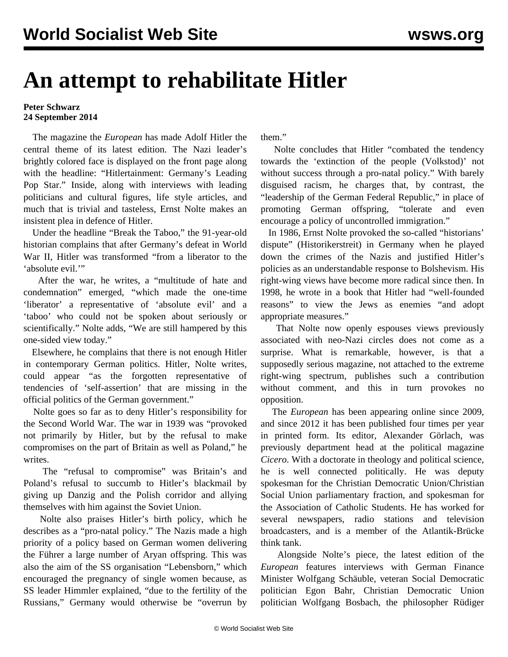## **An attempt to rehabilitate Hitler**

## **Peter Schwarz 24 September 2014**

 The magazine the *European* has made Adolf Hitler the central theme of its latest edition. The Nazi leader's brightly colored face is displayed on the front page along with the headline: "Hitlertainment: Germany's Leading Pop Star." Inside, along with interviews with leading politicians and cultural figures, life style articles, and much that is trivial and tasteless, Ernst Nolte makes an insistent plea in defence of Hitler.

 Under the headline "Break the Taboo," the 91-year-old historian complains that after Germany's defeat in World War II, Hitler was transformed "from a liberator to the 'absolute evil."

 After the war, he writes, a "multitude of hate and condemnation" emerged, "which made the one-time 'liberator' a representative of 'absolute evil' and a 'taboo' who could not be spoken about seriously or scientifically." Nolte adds, "We are still hampered by this one-sided view today."

 Elsewhere, he complains that there is not enough Hitler in contemporary German politics. Hitler, Nolte writes, could appear "as the forgotten representative of tendencies of 'self-assertion' that are missing in the official politics of the German government."

 Nolte goes so far as to deny Hitler's responsibility for the Second World War. The war in 1939 was "provoked not primarily by Hitler, but by the refusal to make compromises on the part of Britain as well as Poland," he writes.

 The "refusal to compromise" was Britain's and Poland's refusal to succumb to Hitler's blackmail by giving up Danzig and the Polish corridor and allying themselves with him against the Soviet Union.

 Nolte also praises Hitler's birth policy, which he describes as a "pro-natal policy." The Nazis made a high priority of a policy based on German women delivering the Führer a large number of Aryan offspring. This was also the aim of the SS organisation "Lebensborn," which encouraged the pregnancy of single women because, as SS leader Himmler explained, "due to the fertility of the Russians," Germany would otherwise be "overrun by

them."

 Nolte concludes that Hitler "combated the tendency towards the 'extinction of the people (Volkstod)' not without success through a pro-natal policy." With barely disguised racism, he charges that, by contrast, the "leadership of the German Federal Republic," in place of promoting German offspring, "tolerate and even encourage a policy of uncontrolled immigration."

 In 1986, Ernst Nolte provoked the so-called "historians' dispute" (Historikerstreit) in Germany when he played down the crimes of the Nazis and justified Hitler's policies as an understandable response to Bolshevism. His right-wing views have become more radical since then. In 1998, he wrote in a book that Hitler had "well-founded reasons" to view the Jews as enemies "and adopt appropriate measures."

 That Nolte now openly espouses views previously associated with neo-Nazi circles does not come as a surprise. What is remarkable, however, is that a supposedly serious magazine, not attached to the extreme right-wing spectrum, publishes such a contribution without comment, and this in turn provokes no opposition.

 The *European* has been appearing online since 2009, and since 2012 it has been published four times per year in printed form. Its editor, Alexander Görlach, was previously department head at the political magazine *Cicero*. With a doctorate in theology and political science, he is well connected politically. He was deputy spokesman for the Christian Democratic Union/Christian Social Union parliamentary fraction, and spokesman for the Association of Catholic Students. He has worked for several newspapers, radio stations and television broadcasters, and is a member of the Atlantik-Brücke think tank.

 Alongside Nolte's piece, the latest edition of the *European* features interviews with German Finance Minister Wolfgang Schäuble, veteran Social Democratic politician Egon Bahr, Christian Democratic Union politician Wolfgang Bosbach, the philosopher Rüdiger